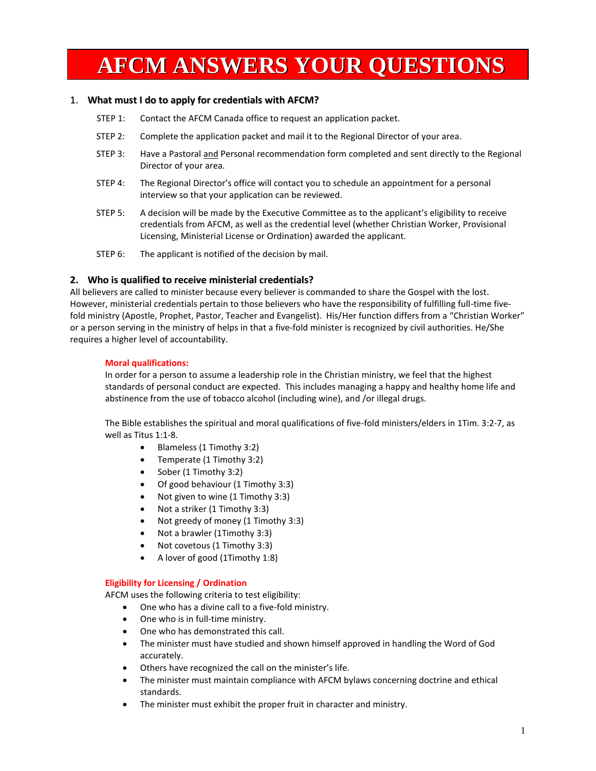# **AFCM ANSWERS YOUR QUESTIONS**

#### 1. **What must I do to apply for credentials with AFCM?**

- STEP 1: Contact the AFCM Canada office to request an application packet.
- STEP 2: Complete the application packet and mail it to the Regional Director of your area.
- STEP 3: Have a Pastoral and Personal recommendation form completed and sent directly to the Regional Director of your area.
- STEP 4: The Regional Director's office will contact you to schedule an appointment for a personal interview so that your application can be reviewed.
- STEP 5: A decision will be made by the Executive Committee as to the applicant's eligibility to receive credentials from AFCM, as well as the credential level (whether Christian Worker, Provisional Licensing, Ministerial License or Ordination) awarded the applicant.
- STEP 6: The applicant is notified of the decision by mail.

#### **2. Who is qualified to receive ministerial credentials?**

All believers are called to minister because every believer is commanded to share the Gospel with the lost. However, ministerial credentials pertain to those believers who have the responsibility of fulfilling full-time fivefold ministry (Apostle, Prophet, Pastor, Teacher and Evangelist). His/Her function differs from a "Christian Worker" or a person serving in the ministry of helps in that a five-fold minister is recognized by civil authorities. He/She requires a higher level of accountability.

#### **Moral qualifications:**

In order for a person to assume a leadership role in the Christian ministry, we feel that the highest standards of personal conduct are expected. This includes managing a happy and healthy home life and abstinence from the use of tobacco alcohol (including wine), and /or illegal drugs.

The Bible establishes the spiritual and moral qualifications of five-fold ministers/elders in 1Tim. 3:2-7, as well as Titus 1:1-8.

- Blameless (1 Timothy 3:2)
- Temperate (1 Timothy 3:2)
- $\bullet$  Sober (1 Timothy 3:2)
- Of good behaviour (1 Timothy 3:3)
- Not given to wine (1 Timothy 3:3)
- Not a striker (1 Timothy 3:3)
- Not greedy of money (1 Timothy 3:3)
- Not a brawler (1Timothy 3:3)
- Not covetous (1 Timothy 3:3)
- A lover of good (1Timothy 1:8)

#### **Eligibility for Licensing / Ordination**

AFCM uses the following criteria to test eligibility:

- One who has a divine call to a five-fold ministry.
- One who is in full-time ministry.
- One who has demonstrated this call.
- The minister must have studied and shown himself approved in handling the Word of God accurately.
- Others have recognized the call on the minister's life.
- The minister must maintain compliance with AFCM bylaws concerning doctrine and ethical standards.
- The minister must exhibit the proper fruit in character and ministry.